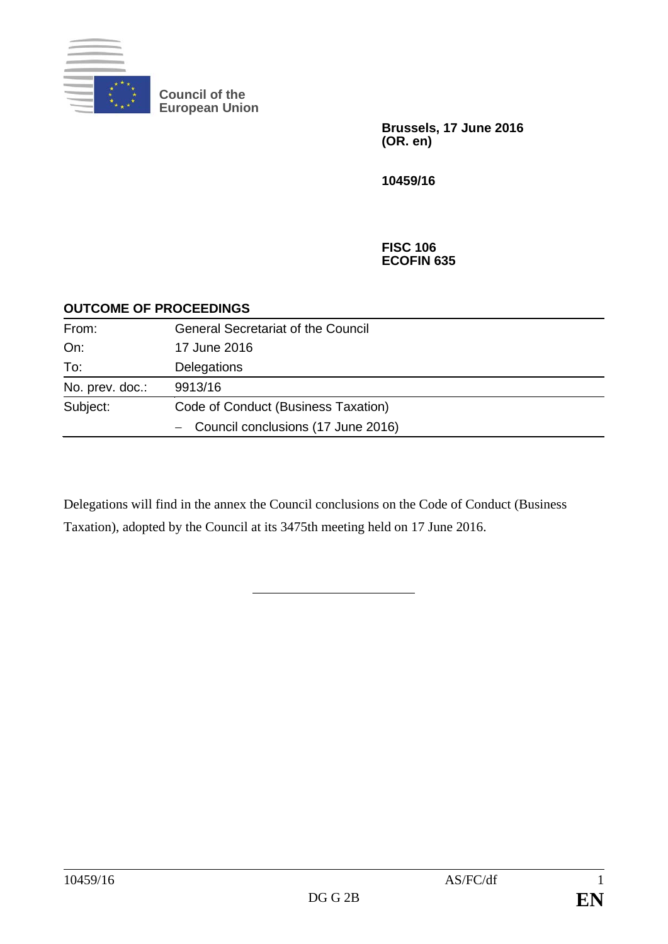

**Council of the European Union**

> **Brussels, 17 June 2016 (OR. en)**

**10459/16**

**FISC 106 ECOFIN 635**

## **OUTCOME OF PROCEEDINGS**

| From:           | <b>General Secretariat of the Council</b> |
|-----------------|-------------------------------------------|
| On:             | 17 June 2016                              |
| To:             | Delegations                               |
| No. prev. doc.: | 9913/16                                   |
| Subject:        | Code of Conduct (Business Taxation)       |
|                 | - Council conclusions (17 June 2016)      |

Delegations will find in the annex the Council conclusions on the Code of Conduct (Business Taxation), adopted by the Council at its 3475th meeting held on 17 June 2016.